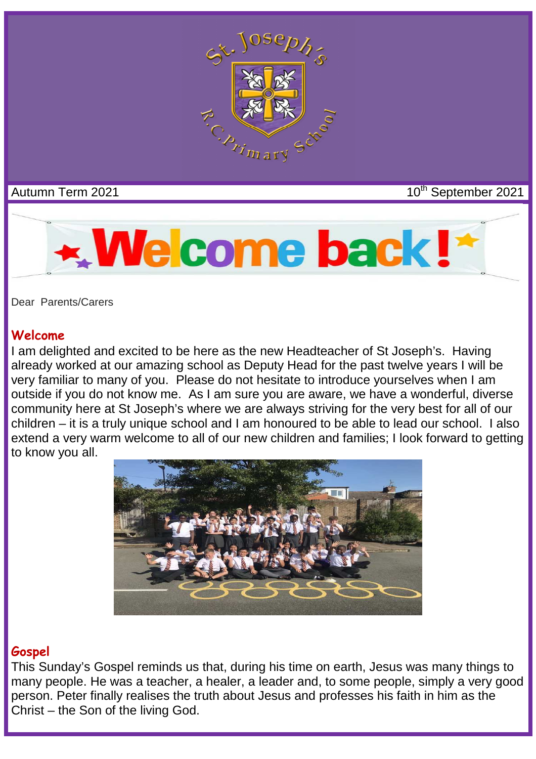

## Autumn Term 2021 **10<sup>th</sup> September 2021**



Dear Parents/Carers

#### **Welcome**

I am delighted and excited to be here as the new Headteacher of St Joseph's. Having already worked at our amazing school as Deputy Head for the past twelve years I will be very familiar to many of you. Please do not hesitate to introduce yourselves when I am outside if you do not know me. As I am sure you are aware, we have a wonderful, diverse community here at St Joseph's where we are always striving for the very best for all of our children – it is a truly unique school and I am honoured to be able to lead our school. I also extend a very warm welcome to all of our new children and families; I look forward to getting to know you all.



#### **Gospel**

This Sunday's Gospel reminds us that, during his time on earth, Jesus was many things to many people. He was a teacher, a healer, a leader and, to some people, simply a very good person. Peter finally realises the truth about Jesus and professes his faith in him as the Christ – the Son of the living God.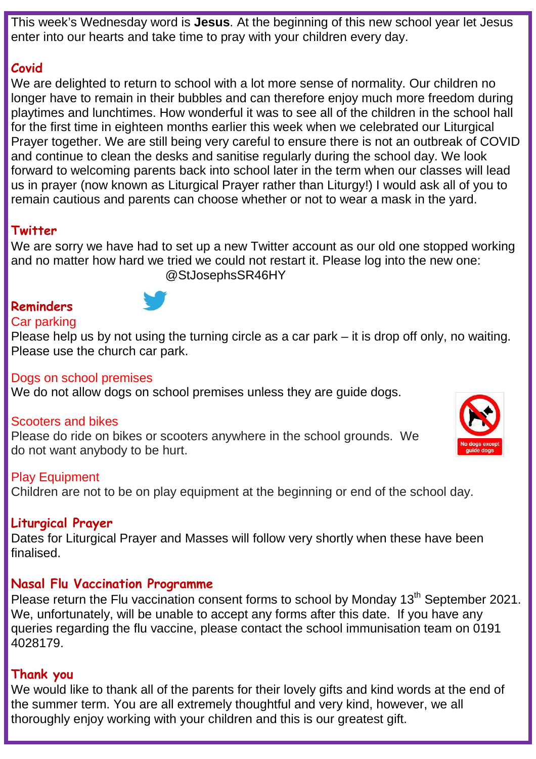This week's Wednesday word is **Jesus**. At the beginning of this new school year let Jesus enter into our hearts and take time to pray with your children every day.

## **Covid**

We are delighted to return to school with a lot more sense of normality. Our children no longer have to remain in their bubbles and can therefore enjoy much more freedom during playtimes and lunchtimes. How wonderful it was to see all of the children in the school hall for the first time in eighteen months earlier this week when we celebrated our Liturgical Prayer together. We are still being very careful to ensure there is not an outbreak of COVID and continue to clean the desks and sanitise regularly during the school day. We look forward to welcoming parents back into school later in the term when our classes will lead us in prayer (now known as Liturgical Prayer rather than Liturgy!) I would ask all of you to remain cautious and parents can choose whether or not to wear a mask in the yard.

## **Twitter**

We are sorry we have had to set up a new Twitter account as our old one stopped working and no matter how hard we tried we could not restart it. Please log into the new one: @StJosephsSR46HY

## **Reminders**



### Car parking

Please help us by not using the turning circle as a car park – it is drop off only, no waiting. Please use the church car park.

#### Dogs on school premises

We do not allow dogs on school premises unless they are guide dogs.

#### Scooters and bikes

Please do ride on bikes or scooters anywhere in the school grounds. We do not want anybody to be hurt.

#### Play Equipment

Children are not to be on play equipment at the beginning or end of the school day.

### **Liturgical Prayer**

Dates for Liturgical Prayer and Masses will follow very shortly when these have been finalised.

## **Nasal Flu Vaccination Programme**

Please return the Flu vaccination consent forms to school by Monday 13<sup>th</sup> September 2021. We, unfortunately, will be unable to accept any forms after this date. If you have any queries regarding the flu vaccine, please contact the school immunisation team on 0191 4028179.

### **Thank you**

We would like to thank all of the parents for their lovely gifts and kind words at the end of the summer term. You are all extremely thoughtful and very kind, however, we all thoroughly enjoy working with your children and this is our greatest gift.

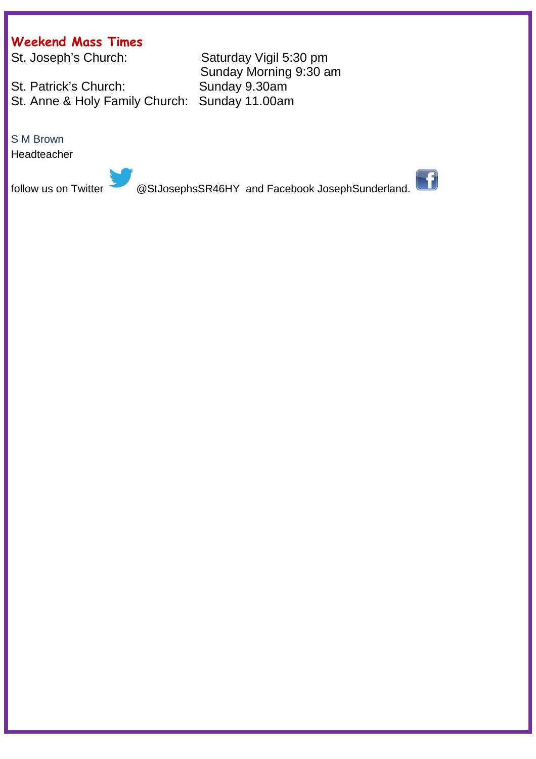# **Weekend Mass Times**

St. Patrick's Church: St. Anne & Holy Family Church: Sunday 11.00am

#### S M Brown

Headteacher

Saturday Vigil 5:30 pm Sunday Morning 9:30 am<br>Sunday 9.30am